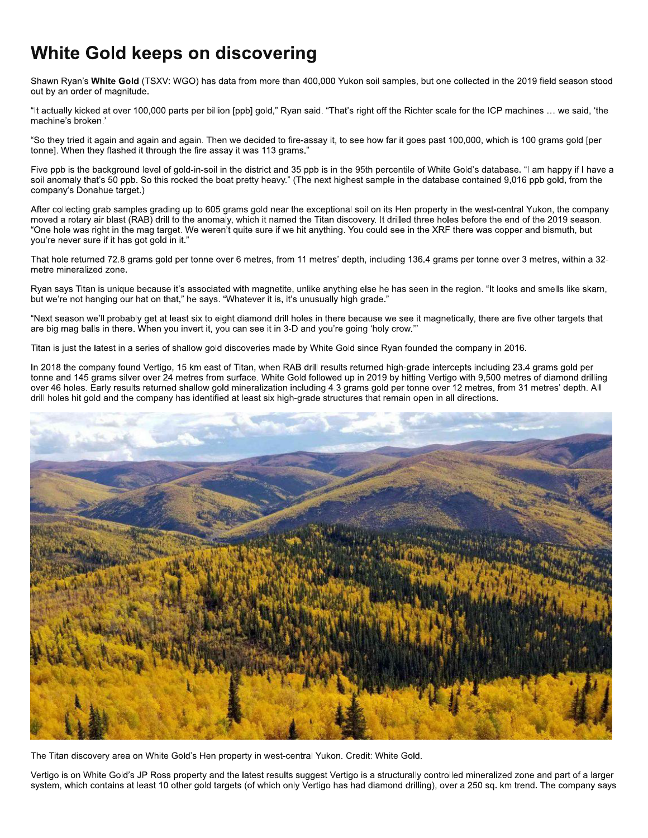## White Gold keeps on discovering

Shawn Ryan's White Gold (TSXV: WGO) has data from more than 400,000 Yukon soil samples, but one collected in the 2019 field season stood out by an order of magnitude.

"It actually kicked at over 100,000 parts per billion [ppb] gold," Ryan said. "That's right off the Richter scale for the ICP machines ... we said, 'the machine's broken.'

"So they tried it again and again and again. Then we decided to fire-assay it, to see how far it goes past 100,000, which is 100 grams gold [per tonne]. When they flashed it through the fire assay it was 113 grams."

Five ppb is the background level of gold-in-soil in the district and 35 ppb is in the 95th percentile of White Gold's database. "I am happy if I have a soil anomaly that's 50 ppb. So this rocked the boat pretty heavy." (The next highest sample in the database contained 9,016 ppb gold, from the company's Donahue target.)

After collecting grab samples grading up to 605 grams gold near the exceptional soil on its Hen property in the west-central Yukon, the company moved a rotary air blast (RAB) drill to the anomaly, which it named the Titan discovery. It drilled three holes before the end of the 2019 season. "One hole was right in the mag target. We weren't quite sure if we hit anything. You could see in the XRF there was copper and bismuth, but you're never sure if it has got gold in it."

That hole returned 72.8 grams gold per tonne over 6 metres, from 11 metres' depth, including 136.4 grams per tonne over 3 metres, within a 32metre mineralized zone.

Ryan says Titan is unique because it's associated with magnetite, unlike anything else he has seen in the region. "It looks and smells like skarn, but we're not hanging our hat on that," he says, "Whatever it is, it's unusually high grade,"

"Next season we'll probably get at least six to eight diamond drill holes in there because we see it magnetically, there are five other targets that are big mag balls in there. When you invert it, you can see it in 3-D and you're going 'holy crow."

Titan is just the latest in a series of shallow gold discoveries made by White Gold since Ryan founded the company in 2016.

In 2018 the company found Vertigo, 15 km east of Titan, when RAB drill results returned high-grade intercepts including 23.4 grams gold per tonne and 145 grams silver over 24 metres from surface. White Gold followed up in 2019 by hitting Vertigo with 9,500 metres of diamond drilling over 46 holes. Early results returned shallow gold mineralization including 4.3 grams gold per tonne over 12 metres, from 31 metres' depth. All drill holes hit gold and the company has identified at least six high-grade structures that remain open in all directions.



The Titan discovery area on White Gold's Hen property in west-central Yukon. Credit: White Gold.

Vertigo is on White Gold's JP Ross property and the latest results suggest Vertigo is a structurally controlled mineralized zone and part of a larger system, which contains at least 10 other gold targets (of which only Vertigo has had diamond drilling), over a 250 sq. km trend. The company says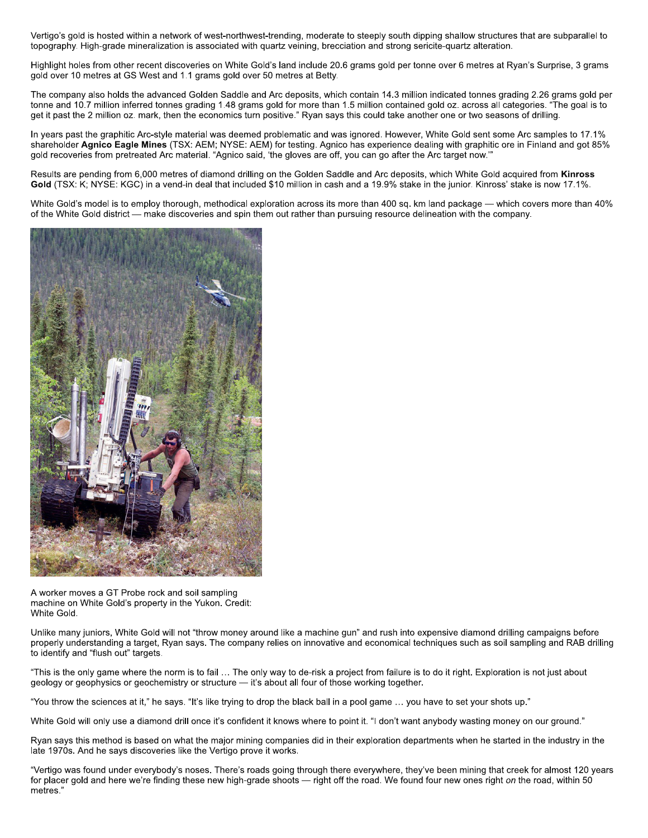Vertigo's gold is hosted within a network of west-northwest-trending, moderate to steeply south dipping shallow structures that are subparallel to topography. High-grade mineralization is associated with quartz veining, brecciation and strong sericite-quartz alteration.

Highlight holes from other recent discoveries on White Gold's land include 20.6 grams gold per tonne over 6 metres at Ryan's Surprise, 3 grams gold over 10 metres at GS West and 1.1 grams gold over 50 metres at Betty.

The company also holds the advanced Golden Saddle and Arc deposits, which contain 14.3 million indicated tonnes grading 2.26 grams gold per tonne and 10.7 million inferred tonnes grading 1.48 grams gold for more than 1.5 million contained gold oz. across all categories. "The goal is to get it past the 2 million oz. mark, then the economics turn positive." Ryan says this could take another one or two seasons of drilling.

In years past the graphitic Arc-style material was deemed problematic and was ignored. However, White Gold sent some Arc samples to 17.1% shareholder Agnico Eagle Mines (TSX: AEM; NYSE: AEM) for testing. Agnico has experience dealing with graphitic ore in Finland and got 85% gold recoveries from pretreated Arc material. "Agnico said, 'the gloves are off, you can go after the Arc target now."

Results are pending from 6,000 metres of diamond drilling on the Golden Saddle and Arc deposits, which White Gold acquired from Kinross Gold (TSX: K; NYSE: KGC) in a vend-in deal that included \$10 million in cash and a 19.9% stake in the junior. Kinross' stake is now 17.1%.

White Gold's model is to employ thorough, methodical exploration across its more than 400 sq. km land package — which covers more than 40% of the White Gold district — make discoveries and spin them out rather than pursuing resource delineation with the company.



A worker moves a GT Probe rock and soil sampling machine on White Gold's property in the Yukon. Credit: White Gold.

Unlike many juniors, White Gold will not "throw money around like a machine gun" and rush into expensive diamond drilling campaigns before properly understanding a target. Ryan says. The company relies on innovative and economical techniques such as soil sampling and RAB drilling to identify and "flush out" targets.

"This is the only game where the norm is to fail ... The only way to de-risk a project from failure is to do it right. Exploration is not just about geology or geophysics or geochemistry or structure - it's about all four of those working together.

"You throw the sciences at it," he says. "It's like trying to drop the black ball in a pool game ... you have to set your shots up."

White Gold will only use a diamond drill once it's confident it knows where to point it. "I don't want anybody wasting money on our ground."

Ryan says this method is based on what the major mining companies did in their exploration departments when he started in the industry in the late 1970s. And he says discoveries like the Vertigo prove it works.

"Vertigo was found under everybody's noses. There's roads going through there everywhere, they've been mining that creek for almost 120 years for placer gold and here we're finding these new high-grade shoots - right off the road. We found four new ones right on the road, within 50 metres.'